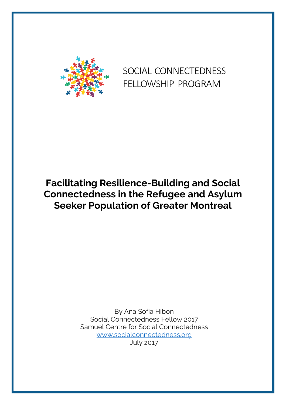

# SOCIAL CONNECTEDNESS FELLOWSHIP PROGRAM

# **Facilitating Resilience-Building and Social Connectedness in the Refugee and Asylum Seeker Population of Greater Montreal**

By Ana Sofia Hibon Social Connectedness Fellow 2017 Samuel Centre for Social Connectedness www.socialconnectedness.org July 2017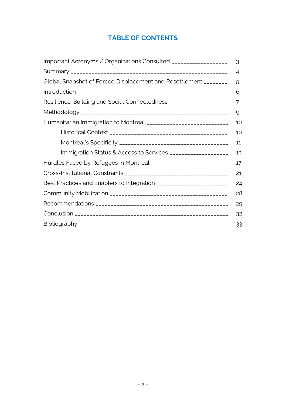# **TABLE OF CONTENTS**

| Important Acronyms / Organizations Consulted __________________     |    |  |
|---------------------------------------------------------------------|----|--|
|                                                                     | 4  |  |
| Global Snapshot of Forced Displacement and Resettlement ________    | 5  |  |
|                                                                     | 6  |  |
| Resilience-Building and Social Connectedness ___________________    | 7  |  |
|                                                                     | 9  |  |
| Humanitarian Immigration to Montreal _____________________________  | 10 |  |
|                                                                     | 10 |  |
|                                                                     | 11 |  |
| Immigration Status & Access to Services ___________________         | 13 |  |
| Hurdles Faced by Refugees in Montreal __________________________    | 17 |  |
|                                                                     | 21 |  |
| Best Practices and Enablers to Integration ________________________ | 24 |  |
|                                                                     | 28 |  |
|                                                                     | 29 |  |
|                                                                     | 32 |  |
|                                                                     | 33 |  |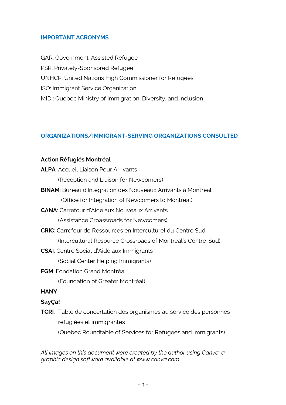#### **IMPORTANT ACRONYMS**

GAR: Government-Assisted Refugee PSR: Privately-Sponsored Refugee UNHCR: United Nations High Commissioner for Refugees ISO: Immigrant Service Organization MIDI: Quebec Ministry of Immigration, Diversity, and Inclusion

#### **ORGANIZATIONS/IMMIGRANT-SERVING ORGANIZATIONS CONSULTED**

#### **Action Réfugiés Montréal**

| <b>ALPA: Accueil Liaison Pour Arrivants</b>                           |
|-----------------------------------------------------------------------|
| (Reception and Liaison for Newcomers)                                 |
| <b>BINAM</b> : Bureau d'Integration des Nouveaux Arrivants à Montréal |

(Office for Integration of Newcomers to Montreal)

- **CANA**: Carrefour d'Aide aux Nouveaux Arrivants (Assistance Croassroads for Newcomers)
- **CRIC**: Carrefour de Ressources en Interculturel du Centre Sud (Intercultural Resource Crossroads of Montreal's Centre-Sud)
- **CSAI**: Centre Social d'Aide aux Immigrants (Social Center Helping Immigrants)
- **FGM**: Fondation Grand Montréal

(Foundation of Greater Montréal)

- **HANY**
- **SayÇa!**
- **TCRI**: Table de concertation des organismes au service des personnes réfugiées et immigrantes (Quebec Roundtable of Services for Refugees and Immigrants)

*All images on this document were created by the author using Canva, a graphic design software available at www.canva.com*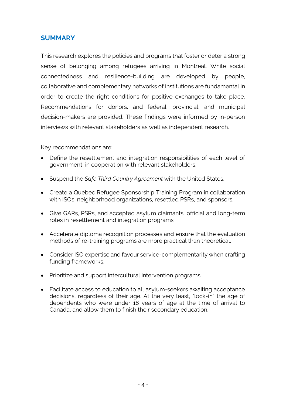# **SUMMARY**

This research explores the policies and programs that foster or deter a strong sense of belonging among refugees arriving in Montreal. While social connectedness and resilience-building are developed by people, collaborative and complementary networks of institutions are fundamental in order to create the right conditions for positive exchanges to take place. Recommendations for donors, and federal, provincial, and municipal decision-makers are provided. These findings were informed by in-person interviews with relevant stakeholders as well as independent research.

Key recommendations are:

- Define the resettlement and integration responsibilities of each level of government, in cooperation with relevant stakeholders.
- Suspend the *Safe Third Country Agreement* with the United States.
- Create a Quebec Refugee Sponsorship Training Program in collaboration with ISOs, neighborhood organizations, resettled PSRs, and sponsors.
- Give GARs, PSRs, and accepted asylum claimants, official and long-term roles in resettlement and integration programs.
- Accelerate diploma recognition processes and ensure that the evaluation methods of re-training programs are more practical than theoretical.
- Consider ISO expertise and favour service-complementarity when crafting funding frameworks.
- Prioritize and support intercultural intervention programs.
- Facilitate access to education to all asylum-seekers awaiting acceptance decisions, regardless of their age. At the very least, "lock-in" the age of dependents who were under 18 years of age at the time of arrival to Canada, and allow them to finish their secondary education.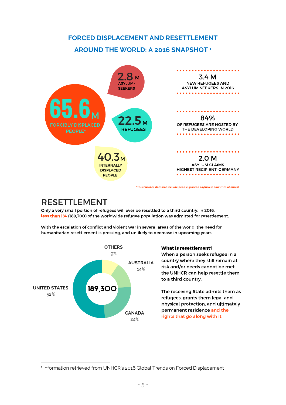# **FORCED DISPLACEMENT AND RESETTLEMENT AROUND THE WORLD: A 2016 SNAPSHOT <sup>1</sup>** SNAPSHOT 2016



\*This number does not include people granted asylum in countries of arrival.

# **RESETTLEMENT**

Only a very small portion of refugees will ever be resettled to a third country. In 2016, less than 1% (189,300) of the worldwide refugee population was admitted for resettlement.

With the escalation of conflict and violent war in several areas of the world, the need for humanitarian resettlement is pressing, and unlikely to decrease in upcoming years.



#### **What is resettlement?**

When a person seeks refugee in a country where they still remain at risk and/or needs cannot be met. the UNHCR can help resettle them to a third country.

The receiving State admits them as refugees, grants them legal and physical protection, and ultimately permanent residence and the rights that go along with it.

 $\overline{a}$ <sup>1</sup> Information retrieved from UNHCR's 2016 Global Trends on Forced Displacement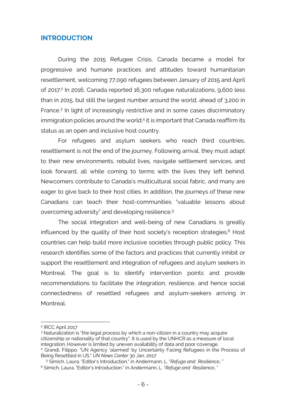#### **INTRODUCTION**

During the 2015 Refugee Crisis, Canada became a model for progressive and humane practices and attitudes toward humanitarian resettlement, welcoming 77,090 refugees between January of 2015 and April of 2017. <sup>2</sup> In 2016, Canada reported 16,300 refugee naturalizations, 9,600 less than in 2015, but still the largest number around the world, ahead of 3,200 in France. <sup>3</sup> In light of increasingly restrictive and in some cases discriminatory immigration policies around the world, <sup>4</sup> it is important that Canada reaffirm its status as an open and inclusive host country.

For refugees and asylum seekers who reach third countries, resettlement is not the end of the journey. Following arrival, they must adapt to their new environments, rebuild lives, navigate settlement services, and look forward, all while coming to terms with the lives they left behind. Newcomers contribute to Canada's multicultural social fabric, and many are eager to give back to their host cities. In addition, the journeys of these new Canadians can teach their host-communities "valuable lessons about overcoming adversity" and developing resilience. 5

The social integration and well-being of new Canadians is greatly influenced by the quality of their host society's reception strategies. <sup>6</sup> Host countries can help build more inclusive societies through public policy. This research identifies some of the factors and practices that currently inhibit or support the resettlement and integration of refugees and asylum seekers in Montreal. The goal is to identify intervention points and provide recommendations to facilitate the integration, resilience, and hence social connectedness of resettled refugees and asylum-seekers arriving in Montreal.

 $\overline{a}$ 

<sup>3</sup> Naturalization is "the legal process by which a non-citizen in a country may acquire citizenship or nationality of that country". It is used by the UNHCR as a measure of local integration. However is limited by uneven availability of data and poor coverage. <sup>4</sup> Grandi, Filippo. "UN Agency 'alarmed' by Uncertainty Facing Refugees in the Process of Being Resettled in US." *UN News Center* 30 Jan. 2017

<sup>2</sup> IRCC April 2017

<sup>5</sup> Simich, Laura. "Editor's Introduction." in Andermann, L. "*Refuge and Resilience…"*

<sup>6</sup> Simich, Laura. "Editor's Introduction." in Andermann, L. "*Refuge and Resilience…"*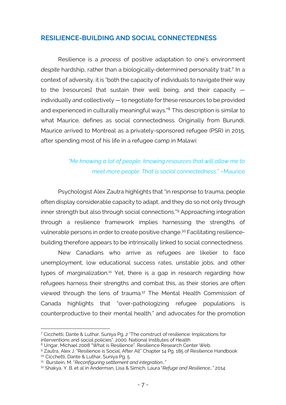## **RESILIENCE-BUILDING AND SOCIAL CONNECTEDNESS**

Resilience is a *process* of positive adaptation to one's environment despite hardship, rather than a biologically-determined personality trait.<sup>7</sup> In a context of adversity, it is "both the capacity of individuals to navigate their way to the [resources] that sustain their well being, and their capacity individually and collectively — to negotiate for these resources to be provided and experienced in culturally meaningful ways."8 This description is similar to what Maurice, defines as social connectedness. Originally from Burundi, Maurice arrived to Montreal as a privately-sponsored refugee (PSR) in 2015, after spending most of his life in a refugee camp in Malawi:

# *"Me knowing a lot of people, knowing resources that will allow me to meet more people. That is social connectedness."* –Maurice

Psychologist Alex Zautra highlights that "in response to trauma, people often display considerable capacity to adapt, and they do so not only through inner strength but also through social connections." <sup>9</sup> Approaching integration through a resilience framework implies harnessing the strengths of vulnerable persons in order to create positive change. <sup>10</sup> Facilitating resiliencebuilding therefore appears to be intrinsically linked to social connectedness.

New Canadians who arrive as refugees are likelier to face unemployment, low educational success rates, unstable jobs, and other types of marginalization.<sup>11</sup> Yet, there is a gap in research regarding how refugees harness their strengths and combat this, as their stories are often viewed through the lens of trauma. <sup>12</sup> The Mental Health Commission of Canada highlights that "over-pathologizing refugee populations is counterproductive to their mental health," and advocates for the promotion

 $\overline{a}$ <sup>7</sup> Cicchetti, Dante & Luthar, Suniya Pg. 2 "The construct of resilience: Implications for interventions and social policies". 2000. National Institutes of Health

<sup>&</sup>lt;sup>8</sup> Ungar, Michael 2008 "What is Resilience". Resilience Research Center Web.

<sup>9</sup> Zautra, Alex J. "Resilience is Social, After All" Chapter 14 Pg. 185 of Resilience Handbook

<sup>&</sup>lt;sup>10</sup> Cicchetti, Dante & Luthar, Suniya Pg. 5<br><sup>11</sup> Burstein, M. "*Reconfiguring settlement and integration*..."

<sup>12</sup> Shakya, Y. B. et al in Anderman, Lisa & Simich, Laura "*Refuge and Resilience…"* 2014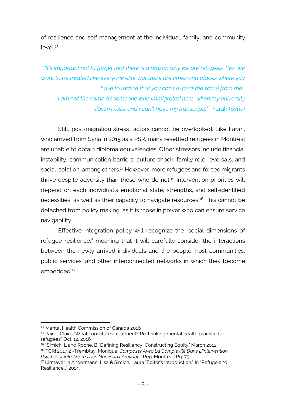of resilience and self management at the individual, family, and community level. 13

*"It's important not to forget that there is a reason why we are refugees. Yes, we want to be treated like everyone else, but there are times and places where you have to realize that you can't expect the same from me". "I am not the same as someone who immigrated here, when my university doesn't exist and I can't have my transcripts"*- Farah (Syria)

Still, post-migration stress factors cannot be overlooked. Like Farah, who arrived from Syria in 2015 as a PSR, many resettled refugees in Montreal are unable to obtain diploma equivalencies. Other stressors include financial instability, communication barriers, culture shock, family role reversals, and social isolation, among others.<sup>14</sup> However, more refugees and forced migrants thrive despite adversity than those who do not. <sup>15</sup> Intervention priorities will depend on each individual's emotional state, strengths, and self-identified necessities, as well as their capacity to navigate resources. <sup>16</sup> This cannot be detached from policy making, as it is those in power who can ensure service navigability.

Effective integration policy will recognize the "social dimensions of refugee resilience," meaning that it will carefully consider the interactions between the newly-arrived individuals and the people, host communities, public services, and other interconnected networks in which they become embedded. 17

 <sup>13</sup> Mental Health Commission of Canada 2016

<sup>&</sup>lt;sup>14</sup> Paine, Claire "What constitutes treatment? Re-thinking mental health practice for refugees" Oct. 12, 2016

 $15$  "Simich, L and Roche, B "Defining Resiliency, Constructing Equity" March 2012

<sup>16</sup> TCRI 2017 2 -Tremblay, Monique. *Composer Avec La Complexité Dans L'intervention Psychosociale Auprès Des Nouveaux Arrivants*. Rep. Montreal: Pg. 75.

<sup>&</sup>lt;sup>17</sup> Kirmayer in Andermann, Lisa & Simich, Laura "Editor's Introduction." In "Refuge and Resilience…" 2014.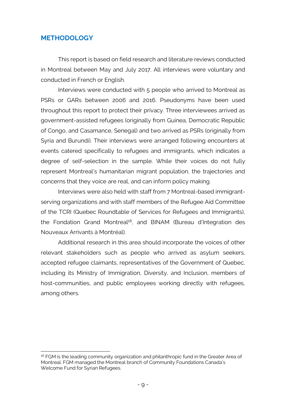## **METHODOLOGY**

This report is based on field research and literature reviews conducted in Montreal between May and July 2017. All interviews were voluntary and conducted in French or English.

Interviews were conducted with 5 people who arrived to Montreal as PSRs or GARs between 2006 and 2016. Pseudonyms have been used throughout this report to protect their privacy. Three interviewees arrived as government-assisted refugees (originally from Guinea, Democratic Republic of Congo, and Casamance, Senegal) and two arrived as PSRs (originally from Syria and Burundi). Their interviews were arranged following encounters at events catered specifically to refugees and immigrants, which indicates a degree of self-selection in the sample. While their voices do not fully represent Montreal's humanitarian migrant population, the trajectories and concerns that they voice are real, and can inform policy making.

Interviews were also held with staff from 7 Montreal-based immigrantserving organizations and with staff members of the Refugee Aid Committee of the TCRI (Quebec Roundtable of Services for Refugees and Immigrants), the Fondation Grand Montreal<sup>18</sup>, and BINAM (Bureau d'Integration des Nouveaux Arrivants à Montréal).

Additional research in this area should incorporate the voices of other relevant stakeholders such as people who arrived as asylum seekers, accepted refugee claimants, representatives of the Government of Quebec, including its Ministry of Immigration, Diversity, and Inclusion, members of host-communities, and public employees working directly with refugees, among others.

 $\overline{a}$ <sup>18</sup> FGM is the leading community organization and philanthropic fund in the Greater Area of Montreal. FGM managed the Montreal branch of Community Foundations Canada's Welcome Fund for Syrian Refugees.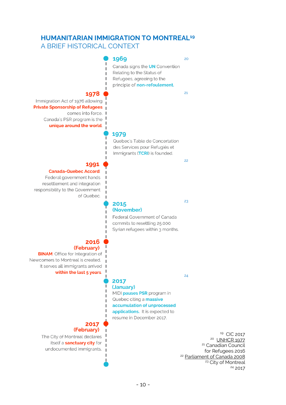# **HUMANITARIAN IMMIGRATION TO MONTREAL19**

A BRIEF HISTORICAL CONTEXT



2017

#### (January)

MIDI **pauses PSR** program in Quebec citing a **massive** accumulation of unprocessed applications. It is expected to resume in December 2017.

#### 2017 (February)

The City of Montreal declares itself a **sanctuary city** for undocumented immigrants.

<sup>19</sup> CIC 2017<br><sup>20</sup> UNH<u>CR 1977</u> <sup>21</sup> Canadian Council for Refugees 2016 <sup>22</sup> Parliament of Canada 2008 <sup>23</sup> City of Montreal <sup>24</sup> 2017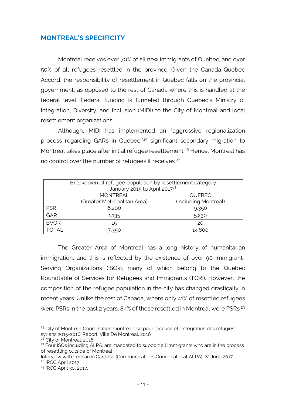# **MONTREAL'S SPECIFICITY**

Montreal receives over 70% of all new immigrants of Quebec, and over 50% of all refugees resettled in the province. Given the Canada-Quebec Accord, the responsibility of resettlement in Quebec falls on the provincial government, as opposed to the rest of Canada where this is handled at the federal level. Federal funding is funneled through Quebec's Ministry of Integration, Diversity, and Inclusion (MIDI) to the City of Montreal and local resettlement organizations.

Although, MIDI has implemented an "aggressive regionalization process regarding GARs in Quebec," <sup>25</sup> significant secondary migration to Montreal takes place after initial refugee resettlement. <sup>26</sup> Hence, Montreal has no control over the number of refugees it receives.<sup>27</sup>

| Breakdown of refugee population by resettlement category<br>January 2015 to April 2017 <sup>28</sup> |                             |                      |  |
|------------------------------------------------------------------------------------------------------|-----------------------------|----------------------|--|
|                                                                                                      | <b>MONTREAL</b>             | <b>QUEBEC</b>        |  |
|                                                                                                      | (Greater Metropolitan Area) | (including Montreal) |  |
| <b>PSR</b>                                                                                           | 6,200                       | 9,350                |  |
| GAR                                                                                                  | 1,135                       | 5,230                |  |
| <b>BVOR</b>                                                                                          | 15                          | 20                   |  |
| <b>TOTAL</b>                                                                                         | 7.350                       | 14,600               |  |

The Greater Area of Montreal has a long history of humanitarian immigration, and this is reflected by the existence of over 90 Immigrant-Serving Organizations (ISOs), many of which belong to the Quebec Roundtable of Services for Refugees and Immigrants (TCRI). However, the composition of the refugee population in the city has changed drastically in recent years. Unlike the rest of Canada, where only 41% of resettled refugees were PSRs in the past 2 years, 84% of those resettled in Montreal were PSRs.<sup>29</sup>

 $\overline{a}$ <sup>25</sup> City of Montreal. Coordination montréalaise pour l'accueil et l'intégration des réfugiés syriens 2015-2016. Report. Ville De Montreal, 2016

<sup>&</sup>lt;sup>26</sup> City of Montreal. 2016

<sup>&</sup>lt;sup>27</sup> Four ISOs including ALPA, are mandated to support all immigrants who are in the process of resettling outside of Montreal

Interview with Leonardo Cardoso (Communications Coordinator at ALPA). 22 June 2017. <sup>28</sup> IRCC April 2017

<sup>29</sup> IRCC April 30, 2017.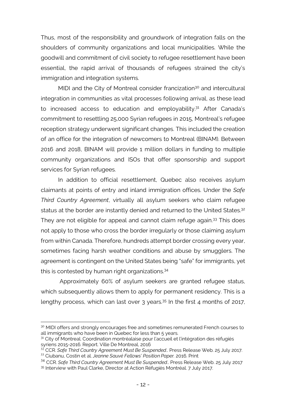Thus, most of the responsibility and groundwork of integration falls on the shoulders of community organizations and local municipalities. While the goodwill and commitment of civil society to refugee resettlement have been essential, the rapid arrival of thousands of refugees strained the city's immigration and integration systems.

MIDI and the City of Montreal consider francization<sup>30</sup> and intercultural integration in communities as vital processes following arrival, as these lead to increased access to education and employability.<sup>31</sup> After Canada's commitment to resettling 25,000 Syrian refugees in 2015, Montreal's refugee reception strategy underwent significant changes. This included the creation of an office for the integration of newcomers to Montreal (BINAM). Between 2016 and 2018, BINAM will provide 1 million dollars in funding to multiple community organizations and ISOs that offer sponsorship and support services for Syrian refugees.

In addition to official resettlement, Quebec also receives asylum claimants at points of entry and inland immigration offices. Under the *Safe Third Country Agreement*, virtually all asylum seekers who claim refugee status at the border are instantly denied and returned to the United States.<sup>32</sup> They are not eligible for appeal and cannot claim refuge again.<sup>33</sup> This does not apply to those who cross the border irregularly or those claiming asylum from within Canada. Therefore, hundreds attempt border crossing every year, sometimes facing harsh weather conditions and abuse by smugglers. The agreement is contingent on the United States being "safe" for immigrants, yet this is contested by human right organizations. 34

Approximately 60% of asylum seekers are granted refugee status, which subsequently allows them to apply for permanent residency. This is a lengthy process, which can last over 3 years.<sup>35</sup> In the first 4 months of 2017,

 $\overline{a}$ 

<sup>&</sup>lt;sup>30</sup> MIDI offers and strongly encourages free and sometimes remunerated French courses to all immigrants who have been in Quebec for less than 5 years.

<sup>&</sup>lt;sup>31</sup> City of Montreal. Coordination montréalaise pour l'accueil et l'intégration des réfugiés syriens 2015-2016. Report. Ville De Montreal, 2016

<sup>32</sup> CCR. *Safe Third Country Agreement Must Be Suspended*.. Press Release Web. 25 July 2017. <sup>33</sup> Ciubanu, Costin et al. *Jeanne Sauvé Fellows' Position Paper.* 2016. Print

<sup>34</sup> CCR. *Safe Third Country Agreement Must Be Suspended*.. Press Release Web. 25 July 2017 <sup>35</sup> Interview with Paul Clarke, Director at Action Réfugiés Montréal. 7 July 2017.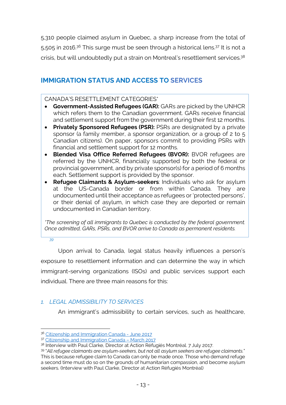5,310 people claimed asylum in Quebec, a sharp increase from the total of 5,505 in 2016.<sup>36</sup> This surge must be seen through a historical lens.<sup>37</sup> It is not a crisis, but will undoubtedly put a strain on Montreal's resettlement services.<sup>38</sup>

# **IMMIGRATION STATUS AND ACCESS TO SERVICES**

CANADA'S RESETTLEMENT CATEGORIES\*

- **Government-Assisted Refugees (GAR):** GARs are picked by the UNHCR which refers them to the Canadian government. GARs receive financial and settlement support from the government during their first 12 months.
- **Privately Sponsored Refugees (PSR):** PSRs are designated by a private sponsor (a family member, a sponsor organization, or a group of 2 to 5 Canadian citizens). On paper, sponsors commit to providing PSRs with financial and settlement support for 12 months.
- **Blended Visa Office Referred Refugees (BVOR):** BVOR refugees are referred by the UNHCR, financially supported by both the federal or provincial government, and by private sponsor(s) for a period of 6 months each. Settlement support is provided by the sponsor.
- **Refugee Claimants & Asylum-seekers**: Individuals who ask for asylum at the US-Canada border or from within Canada. They are undocumented until their acceptance as refugees or 'protected persons', or their denial of asylum, in which case they are deported or remain undocumented in Canadian territory.

*\*The screening of all immigrants to Quebec is conducted by the federal government. Once admitted, GARs, PSRs, and BVOR arrive to Canada as permanent residents.* 

*39*

Upon arrival to Canada, legal status heavily influences a person's exposure to resettlement information and can determine the way in which immigrant-serving organizations (ISOs) and public services support each individual. There are three main reasons for this:

# *1. LEGAL ADMISSIBILITY TO SERVICES*

An immigrant's admissibility to certain services, such as healthcare,

 $\overline{a}$ <sup>36</sup> Citizenship and Immigration Canada - June 2017

<sup>37</sup> Citizenship and Immigration Canada – March 2017

<sup>&</sup>lt;sup>38</sup> Interview with Paul Clarke, Director at Action Réfugiés Montréal, 7 July 2017.

<sup>39</sup> "*All refugee claimants are asylum-seekers, but not all asylum seekers are refugee claimants.*" This is because refugee claim to Canada can only be made once. Those who demand refuge a second time must do so on the grounds of humanitarian compassion, and become asylum seekers. (Interview with Paul Clarke, Director at Action Réfugiés Montréal)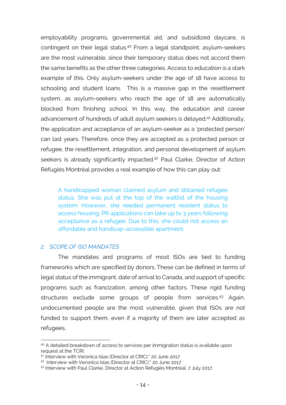employability programs, governmental aid, and subsidized daycare, is contingent on their legal status.<sup>40</sup> From a legal standpoint, asylum-seekers are the most vulnerable, since their temporary status does not accord them the same benefits as the other three categories. Access to education is a stark example of this. Only asylum-seekers under the age of 18 have access to schooling and student loans. This is a massive gap in the resettlement system, as asylum-seekers who reach the age of 18 are automatically blocked from finishing school. In this way, the education and career advancement of hundreds of adult asylum seekers is delayed. <sup>41</sup> Additionally, the application and acceptance of an asylum-seeker as a 'protected person' can last years. Therefore, once they are accepted as a protected person or refugee, the resettlement, integration, and personal development of asylum seekers is already significantly impacted.<sup>42</sup> Paul Clarke, Director of Action Réfugiés Montréal provides a real example of how this can play out:

A handicapped woman claimed asylum and obtained refugee status. She was put at the top of the waitlist of the housing system. However, she needed permanent resident status to access housing. PR applications can take up to 3 years following acceptance as a refugee. Due to this, she could not access an affordable and handicap-accessible apartment.

#### *2. SCOPE OF ISO MANDATES*

 $\overline{a}$ 

The mandates and programs of most ISOs are tied to funding frameworks which are specified by donors. These can be defined in terms of legal status of the immigrant, date of arrival to Canada, and support of specific programs such as francization, among other factors. These rigid funding structures exclude some groups of people from services.<sup>43</sup> Again, undocumented people are the most vulnerable, given that ISOs are not funded to support them, even if a majority of them are later accepted as refugees.

<sup>&</sup>lt;sup>40</sup> A detailed breakdown of access to services per immigration status is available upon request at the TCRI.

<sup>41</sup> Interview with Veronica Islas (Director at CRIC)." 20 June 2017

<sup>42</sup> Interview with Veronica Islas (Director at CRIC)." 20 June 2017

<sup>43</sup> Interview with Paul Clarke, Director at Action Réfugiés Montréal. 7 July 2017.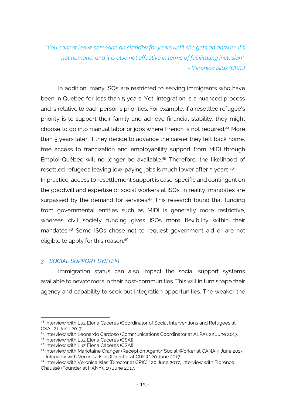*"You cannot leave someone on standby for years until she gets an answer. It's not humane, and it is also not effective in terms of facilitating inclusion". - Veronica Islas (CRIC)*

In addition, many ISOs are restricted to serving immigrants who have been in Quebec for less than 5 years. Yet, integration is a nuanced process and is relative to each person's priorities. For example, if a resettled refugee's priority is to support their family and achieve financial stability, they might choose to go into manual labor or jobs where French is not required. <sup>44</sup> More than 5 years later, if they decide to advance the career they left back home, free access to francization and employability support from MIDI through Emploi-Québec will no longer be available. <sup>45</sup> Therefore, the likelihood of resettled refugees leaving low-paying jobs is much lower after 5 years.<sup>46</sup> In practice, access to resettlement support is case-specific and contingent on the goodwill and expertise of social workers at ISOs. In reality, mandates are surpassed by the demand for services.<sup>47</sup> This research found that funding from governmental entities such as MIDI is generally more restrictive, whereas civil society funding gives ISOs more flexibility within their mandates. <sup>48</sup> Some ISOs chose not to request government aid or are not eligible to apply for this reason. 49

#### *3. SOCIAL SUPPORT SYSTEM*

Immigration status can also impact the social support systems available to newcomers in their host-communities. This will in turn shape their agency and capability to seek out integration opportunities. The weaker the

 <sup>44</sup> Interview with Luz Elena Cáceres (Coordinator of Social Interventions and Refugees at CSAI. 21 June 2017.

<sup>45</sup> Interview with Leonardo Cardoso (Communications Coordinator at ALPA). 22 June 2017.

<sup>46</sup> Interview with Luz Elena Cáceres (CSAI)

<sup>47</sup> Interview with Luz Elena Cáceres (CSAI)

<sup>48</sup> Interview with Marjolaine Granger (Reception Agent/ Social Worker at CANA 9 June 2017 Interview with Veronica Islas (Director at CRIC)." 20 June 2017

<sup>49</sup> Interview with Veronica Islas (Director at CRIC)." 20 June 2017, Interview with Florence Chaussé (Founder at HANY).. 19 June 2017.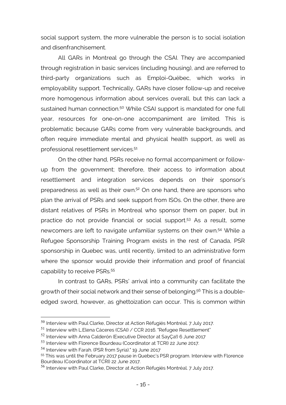social support system, the more vulnerable the person is to social isolation and disenfranchisement.

All GARs in Montreal go through the CSAI. They are accompanied through registration in basic services (including housing), and are referred to third-party organizations such as Emploi-Québec, which works in employability support. Technically, GARs have closer follow-up and receive more homogenous information about services overall, but this can lack a sustained human connection.<sup>50</sup> While CSAI support is mandated for one full year, resources for one-on-one accompaniment are limited. This is problematic because GARs come from very vulnerable backgrounds, and often require immediate mental and physical health support, as well as professional resettlement services. 51

On the other hand, PSRs receive no formal accompaniment or followup from the government; therefore, their access to information about resettlement and integration services depends on their sponsor's preparedness as well as their own. <sup>52</sup> On one hand, there are sponsors who plan the arrival of PSRs and seek support from ISOs. On the other, there are distant relatives of PSRs in Montreal who sponsor them on paper, but in practice do not provide financial or social support. <sup>53</sup> As a result, some newcomers are left to navigate unfamiliar systems on their own. <sup>54</sup> While a Refugee Sponsorship Training Program exists in the rest of Canada, PSR sponsorship in Quebec was, until recently, limited to an administrative form where the sponsor would provide their information and proof of financial capability to receive PSRs. 55

In contrast to GARs, PSRs' arrival into a community can facilitate the growth of their social network and their sense of belonging. <sup>56</sup> This is a doubleedged sword, however, as ghettoization can occur. This is common within

 <sup>50</sup> Interview with Paul Clarke, Director at Action Réfugiés Montréal. 7 July 2017.

<sup>51</sup> Interview with L.Elena Cáceres (CSAI) / CCR 2016. "Refugee Resettlement"

<sup>52</sup> Interview with Anna Calderón (Executive Director at SayÇa!) 6 June 2017

<sup>53</sup> Interview with Florence Bourdeau (Coordinator at TCRI) 22 June 2017.

<sup>54</sup> Interview with Farah. (PSR from Syria)." 19 June 2017

<sup>&</sup>lt;sup>55</sup> This was until the February 2017 pause in Quebec's PSR program. Interview with Florence Bourdeau (Coordinator at TCRI) 22 June 2017.

<sup>56</sup> Interview with Paul Clarke, Director at Action Réfugiés Montréal. 7 July 2017.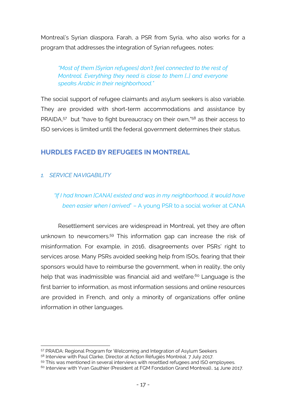Montreal's Syrian diaspora. Farah, a PSR from Syria, who also works for a program that addresses the integration of Syrian refugees, notes:

### *"Most of them [Syrian refugees] don't feel connected to the rest of Montreal. Everything they need is close to them […] and everyone speaks Arabic in their neighborhood."*

The social support of refugee claimants and asylum seekers is also variable. They are provided with short-term accommodations and assistance by PRAIDA,<sup>57</sup> but "have to fight bureaucracy on their own,"<sup>58</sup> as their access to ISO services is limited until the federal government determines their status.

# **HURDLES FACED BY REFUGEES IN MONTREAL**

## *1. SERVICE NAVIGABILITY*

 $\overline{a}$ 

*"If I had known [CANA] existed and was in my neighborhood, it would have been easier when I arrived*" – A young PSR to a social worker at CANA

Resettlement services are widespread in Montreal, yet they are often unknown to newcomers. <sup>59</sup> This information gap can increase the risk of misinformation. For example, in 2016, disagreements over PSRs' right to services arose. Many PSRs avoided seeking help from ISOs, fearing that their sponsors would have to reimburse the government, when in reality, the only help that was inadmissible was financial aid and welfare.<sup>60</sup> Language is the first barrier to information, as most information sessions and online resources are provided in French, and only a minority of organizations offer online information in other languages.

59 This was mentioned in several interviews with resettled refugees and ISO employees.

<sup>57</sup> PRAIDA: Regional Program for Welcoming and Integration of Asylum Seekers

<sup>58</sup> Interview with Paul Clarke, Director at Action Réfugiés Montréal. 7 July 2017.

 $60$  Interview with Yvan Gauthier (President at FGM Fondation Grand Montreal).. 14 June 2017.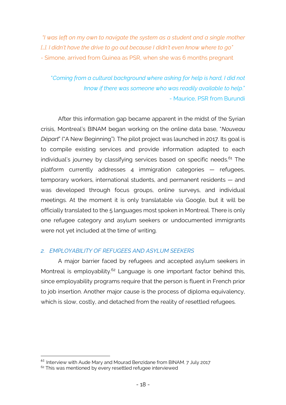*"I was left on my own to navigate the system as a student and a single mother […]. I didn't have the drive to go out because I didn't even know where to go" -* Simone, arrived from Guinea as PSR, when she was 6 months pregnant

"*Coming from a cultural background where asking for help is hard, I did not know if there was someone who was readily available to help*." - Maurice, PSR from Burundi

After this information gap became apparent in the midst of the Syrian crisis, Montreal's BINAM began working on the online data base, "*Nouveau Départ*" ("A New Beginning"). The pilot project was launched in 2017. Its goal is to compile existing services and provide information adapted to each individual's journey by classifying services based on specific needs. <sup>61</sup> The platform currently addresses 4 immigration categories — refugees, temporary workers, international students, and permanent residents — and was developed through focus groups, online surveys, and individual meetings. At the moment it is only translatable via Google, but it will be officially translated to the 5 languages most spoken in Montreal. There is only one refugee category and asylum seekers or undocumented immigrants were not yet included at the time of writing.

#### *2. EMPLOYABILITY OF REFUGEES AND ASYLUM SEEKERS*

A major barrier faced by refugees and accepted asylum seekers in Montreal is employability.<sup>62</sup> Language is one important factor behind this, since employability programs require that the person is fluent in French prior to job insertion. Another major cause is the process of diploma equivalency, which is slow, costly, and detached from the reality of resettled refugees.

 $61$  Interview with Aude Mary and Mourad Benzidane from BINAM, 7 July 2017

 $62$  This was mentioned by every resettled refugee interviewed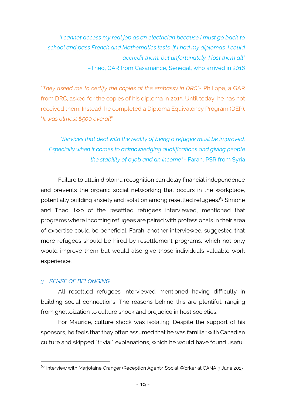*"I cannot access my real job as an electrician because I must go back to school and pass French and Mathematics tests. If I had my diplomas, I could accredit them, but unfortunately, I lost them all"* –Theo, GAR from Casamance, Senegal, who arrived in 2016

"*They asked me to certify the copies at the embassy in DRC*"- Philippe, a GAR from DRC, asked for the copies of his diploma in 2015. Until today, he has not received them. Instead, he completed a Diploma Equivalency Program (DEP). "*It was almost \$500 overall*"

# *"Services that deal with the reality of being a refugee must be improved. Especially when it comes to acknowledging qualifications and giving people the stability of a job and an income".-* Farah, PSR from Syria

Failure to attain diploma recognition can delay financial independence and prevents the organic social networking that occurs in the workplace, potentially building anxiety and isolation among resettled refugees. <sup>63</sup> Simone and Theo, two of the resettled refugees interviewed, mentioned that programs where incoming refugees are paired with professionals in their area of expertise could be beneficial. Farah, another interviewee, suggested that more refugees should be hired by resettlement programs, which not only would improve them but would also give those individuals valuable work experience.

### *3. SENSE OF BELONGING*

All resettled refugees interviewed mentioned having difficulty in building social connections. The reasons behind this are plentiful, ranging from ghettoization to culture shock and prejudice in host societies.

For Maurice, culture shock was isolating. Despite the support of his sponsors, he feels that they often assumed that he was familiar with Canadian culture and skipped "trivial" explanations, which he would have found useful.

<sup>&</sup>lt;sup>63</sup> Interview with Mariolaine Granger (Reception Agent/ Social Worker at CANA 9 June 2017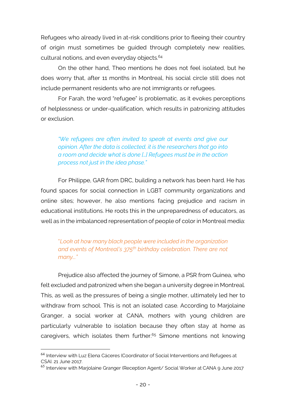Refugees who already lived in at-risk conditions prior to fleeing their country of origin must sometimes be guided through completely new realities, cultural notions, and even everyday objects. 64

On the other hand, Theo mentions he does not feel isolated, but he does worry that, after 11 months in Montreal, his social circle still does not include permanent residents who are not immigrants or refugees.

For Farah, the word "refugee" is problematic, as it evokes perceptions of helplessness or under-qualification, which results in patronizing attitudes or exclusion.

*"We refugees are often invited to speak at events and give our opinion. After the data is collected, it is the researchers that go into a room and decide what is done […] Refugees must be in the action process not just in the idea phase."*

For Philippe, GAR from DRC, building a network has been hard. He has found spaces for social connection in LGBT community organizations and online sites; however, he also mentions facing prejudice and racism in educational institutions. He roots this in the unpreparedness of educators, as well as in the imbalanced representation of people of color in Montreal media:

"*Look at how many black people were included in the organization and events of Montreal's 375th birthday celebration. There are not many..."*

Prejudice also affected the journey of Simone, a PSR from Guinea, who felt excluded and patronized when she began a university degree in Montreal. This, as well as the pressures of being a single mother, ultimately led her to withdraw from school. This is not an isolated case. According to Marjolaine Granger, a social worker at CANA, mothers with young children are particularly vulnerable to isolation because they often stay at home as caregivers, which isolates them further.<sup>65</sup> Simone mentions not knowing

<sup>&</sup>lt;sup>64</sup> Interview with Luz Elena Cáceres (Coordinator of Social Interventions and Refugees at CSAI. 21 June 2017.

<sup>&</sup>lt;sup>65</sup> Interview with Marjolaine Granger (Reception Agent/ Social Worker at CANA 9 June 2017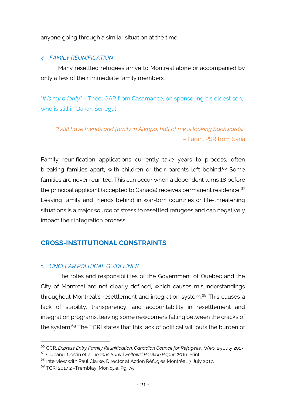anyone going through a similar situation at the time.

#### *4. FAMILY REUNIFICATION*

Many resettled refugees arrive to Montreal alone or accompanied by only a few of their immediate family members.

"*It is my priority"* – Theo, GAR from Casamance, on sponsoring his oldest son, who is still in Dakar, Senegal

*"I still have friends and family in Aleppo, half of me is looking backwards." –* Farah, PSR from Syria

Family reunification applications currently take years to process, often breaking families apart, with children or their parents left behind.<sup>66</sup> Some families are never reunited. This can occur when a dependent turns 18 before the principal applicant (accepted to Canada) receives permanent residence.<sup>67</sup> Leaving family and friends behind in war-torn countries or life-threatening situations is a major source of stress to resettled refugees and can negatively impact their integration process.

# **CROSS-INSTITUTIONAL CONSTRAINTS**

#### *1. UNCLEAR POLITICAL GUIDELINES*

The roles and responsibilities of the Government of Quebec and the City of Montreal are not clearly defined, which causes misunderstandings throughout Montreal's resettlement and integration system.<sup>68</sup> This causes a lack of stability, transparency, and accountability in resettlement and integration programs, leaving some newcomers falling between the cracks of the system. <sup>69</sup> The TCRI states that this lack of political will puts the burden of

 <sup>66</sup> CCR. *Express Entry Family Reunification*. *Canadian Council for Refugees*.. Web. 25 July 2017.

<sup>67</sup> Ciubanu, Costin et al. *Jeanne Sauvé Fellows' Position Paper:* 2016. Print

<sup>68</sup> Interview with Paul Clarke, Director at Action Réfugiés Montréal. 7 July 2017.

 $69$  TCRI 2017 2 - Tremblay, Monique. Pg. 75.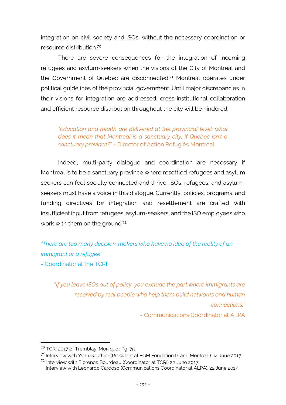integration on civil society and ISOs, without the necessary coordination or resource distribution. 70

There are severe consequences for the integration of incoming refugees and asylum-seekers when the visions of the City of Montreal and the Government of Quebec are disconnected.<sup>71</sup> Montreal operates under political guidelines of the provincial government. Until major discrepancies in their visions for integration are addressed, cross-institutional collaboration and efficient resource distribution throughout the city will be hindered.

*"Education and health are delivered at the provincial level: what does it mean that Montreal is a sanctuary city, if Quebec isn't a sanctuary province?*" - Director of Action Réfugiés Montréal

Indeed, multi-party dialogue and coordination are necessary if Montreal is to be a sanctuary province where resettled refugees and asylum seekers can feel socially connected and thrive. ISOs, refugees, and asylumseekers must have a voice in this dialogue. Currently, policies, programs, and funding directives for integration and resettlement are crafted with insufficient input from refugees, asylum-seekers, and the ISO employees who work with them on the ground.<sup>72</sup>

# *"There are too many decision-makers who have no idea of the reality of an immigrant or a refugee"*

- Coordinator at the TCRI

"*If you leave ISOs out of policy, you exclude the part where immigrants are received by real people who help them build networks and human connections."*

- Communications Coordinator at ALPA

 $70$  TCRI 2017 2 - Tremblay, Monique.: Pg. 75.

<sup>71</sup> Interview with Yvan Gauthier (President at FGM Fondation Grand Montreal). 14 June 2017.

<sup>72</sup> Interview with Florence Bourdeau (Coordinator at TCRI) 22 June 2017.

Interview with Leonardo Cardoso (Communications Coordinator at ALPA). 22 June 2017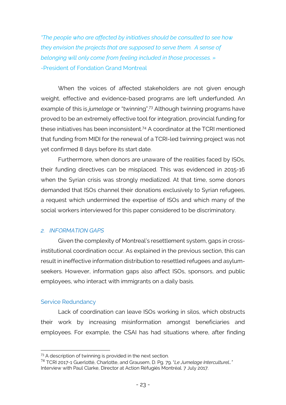*"The people who are affected by initiatives should be consulted to see how they envision the projects that are supposed to serve them. A sense of belonging will only come from feeling included in those processes. »* -President of Fondation Grand Montreal

When the voices of affected stakeholders are not given enough weight, effective and evidence-based programs are left underfunded. An example of this is *jumelage* or "twinning". <sup>73</sup> Although twinning programs have proved to be an extremely effective tool for integration, provincial funding for these initiatives has been inconsistent. <sup>74</sup> A coordinator at the TCRI mentioned that funding from MIDI for the renewal of a TCRI-led twinning project was not yet confirmed 8 days before its start date.

Furthermore, when donors are unaware of the realities faced by ISOs, their funding directives can be misplaced. This was evidenced in 2015-16 when the Syrian crisis was strongly mediatized. At that time, some donors demanded that ISOs channel their donations exclusively to Syrian refugees, a request which undermined the expertise of ISOs and which many of the social workers interviewed for this paper considered to be discriminatory.

#### *2. INFORMATION GAPS*

Given the complexity of Montreal's resettlement system, gaps in crossinstitutional coordination occur. As explained in the previous section, this can result in ineffective information distribution to resettled refugees and asylumseekers. However, information gaps also affect ISOs, sponsors, and public employees, who interact with immigrants on a daily basis.

#### Service Redundancy

 $\overline{a}$ 

Lack of coordination can leave ISOs working in silos, which obstructs their work by increasing misinformation amongst beneficiaries and employees. For example, the CSAI has had situations where, after finding

<sup>&</sup>lt;sup>73</sup> A description of twinning is provided in the next section.

<sup>74</sup> TCRI 2017-1 Guerlotté, Charlotte, and Grausem, D. Pg. 79. "*Le Jumelage Interculturel…"* Interview with Paul Clarke, Director at Action Réfugiés Montréal. 7 July 2017.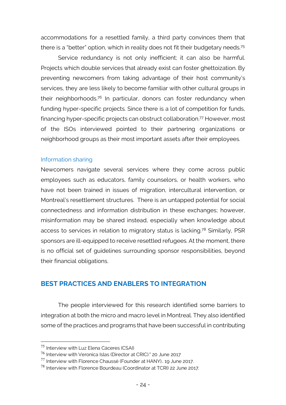accommodations for a resettled family, a third party convinces them that there is a "better" option, which in reality does not fit their budgetary needs.<sup>75</sup>

Service redundancy is not only inefficient; it can also be harmful. Projects which double services that already exist can foster ghettoization. By preventing newcomers from taking advantage of their host community's services, they are less likely to become familiar with other cultural groups in their neighborhoods.<sup>76</sup> In particular, donors can foster redundancy when funding hyper-specific projects. Since there is a lot of competition for funds, financing hyper-specific projects can obstruct collaboration. <sup>77</sup> However, most of the ISOs interviewed pointed to their partnering organizations or neighborhood groups as their most important assets after their employees.

#### Information sharing

Newcomers navigate several services where they come across public employees such as educators, family counselors, or health workers, who have not been trained in issues of migration, intercultural intervention, or Montreal's resettlement structures. There is an untapped potential for social connectedness and information distribution in these exchanges; however, misinformation may be shared instead, especially when knowledge about access to services in relation to migratory status is lacking.<sup>78</sup> Similarly, PSR sponsors are ill-equipped to receive resettled refugees. At the moment, there is no official set of guidelines surrounding sponsor responsibilities, beyond their financial obligations.

# **BEST PRACTICES AND ENABLERS TO INTEGRATION**

The people interviewed for this research identified some barriers to integration at both the micro and macro level in Montreal. They also identified some of the practices and programs that have been successful in contributing

 <sup>75</sup> Interview with Luz Elena Cáceres (CSAI)

<sup>76</sup> Interview with Veronica Islas (Director at CRIC)." 20 June 2017

 $^{77}$  Interview with Florence Chaussé (Founder at HANY).. 19 June 2017.

<sup>78</sup> Interview with Florence Bourdeau (Coordinator at TCRI) 22 June 2017.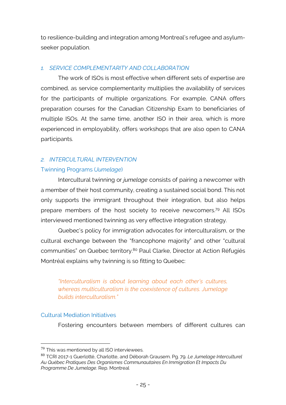to resilience-building and integration among Montreal's refugee and asylumseeker population.

#### *1. SERVICE COMPLEMENTARITY AND COLLABORATION*

The work of ISOs is most effective when different sets of expertise are combined, as service complementarity multiplies the availability of services for the participants of multiple organizations. For example, CANA offers preparation courses for the Canadian Citizenship Exam to beneficiaries of multiple ISOs. At the same time, another ISO in their area, which is more experienced in employability, offers workshops that are also open to CANA participants.

# *2. INTERCULTURAL INTERVENTION*

### Twinning Programs (*Jumelage*)

Intercultural twinning or *jumelage* consists of pairing a newcomer with a member of their host community, creating a sustained social bond. This not only supports the immigrant throughout their integration, but also helps prepare members of the host society to receive newcomers.<sup>79</sup> All ISOs interviewed mentioned twinning as very effective integration strategy.

Quebec's policy for immigration advocates for interculturalism, or the cultural exchange between the "francophone majority" and other "cultural communities" on Quebec territory. <sup>80</sup> Paul Clarke, Director at Action Réfugiés Montréal explains why twinning is so fitting to Quebec:

*"Interculturalism is about learning about each other's cultures, whereas multiculturalism is the coexistence of cultures. Jumelage builds interculturalism."*

#### Cultural Mediation Initiatives

Fostering encounters between members of different cultures can

 $79$  This was mentioned by all ISO interviewees.

<sup>80</sup> TCRI 2017-1 Guerlotté, Charlotte, and Déborah Grausem. Pg. 79. *Le Jumelage Interculturel Au Québec Pratiques Des Organismes Communautaires En Immigration Et Impacts Du Programme De Jumelage*. Rep. Montreal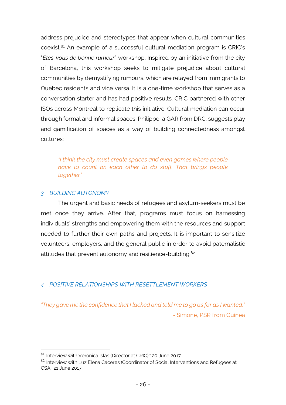address prejudice and stereotypes that appear when cultural communities coexist. <sup>81</sup> An example of a successful cultural mediation program is CRIC's "*Etes-vous de bonne rumeur*" workshop. Inspired by an initiative from the city of Barcelona, this workshop seeks to mitigate prejudice about cultural communities by demystifying rumours, which are relayed from immigrants to Quebec residents and vice versa. It is a one-time workshop that serves as a conversation starter and has had positive results. CRIC partnered with other ISOs across Montreal to replicate this initiative. Cultural mediation can occur through formal and informal spaces. Philippe, a GAR from DRC, suggests play and gamification of spaces as a way of building connectedness amongst cultures:

*"I think the city must create spaces and even games where people have to count on each other to do stuff. That brings people together"* 

#### *3. BUILDING AUTONOMY*

The urgent and basic needs of refugees and asylum-seekers must be met once they arrive. After that, programs must focus on harnessing individuals' strengths and empowering them with the resources and support needed to further their own paths and projects. It is important to sensitize volunteers, employers, and the general public in order to avoid paternalistic attitudes that prevent autonomy and resilience-building.<sup>82</sup>

### *4. POSITIVE RELATIONSHIPS WITH RESETTLEMENT WORKERS*

*"They gave me the confidence that I lacked and told me to go as far as I wanted." -* Simone, PSR from Guinea

<sup>81</sup> Interview with Veronica Islas (Director at CRIC)." 20 June 2017

 $82$  Interview with Luz Elena Cáceres (Coordinator of Social Interventions and Refugees at CSAI. 21 June 2017.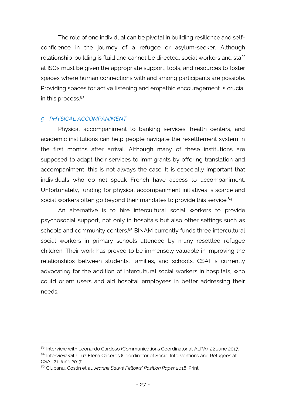The role of one individual can be pivotal in building resilience and selfconfidence in the journey of a refugee or asylum-seeker. Although relationship-building is fluid and cannot be directed, social workers and staff at ISOs must be given the appropriate support, tools, and resources to foster spaces where human connections with and among participants are possible. Providing spaces for active listening and empathic encouragement is crucial in this process. 83

#### *5. PHYSICAL ACCOMPANIMENT*

Physical accompaniment to banking services, health centers, and academic institutions can help people navigate the resettlement system in the first months after arrival. Although many of these institutions are supposed to adapt their services to immigrants by offering translation and accompaniment, this is not always the case. It is especially important that individuals who do not speak French have access to accompaniment. Unfortunately, funding for physical accompaniment initiatives is scarce and social workers often go beyond their mandates to provide this service.<sup>84</sup>

An alternative is to hire intercultural social workers to provide psychosocial support, not only in hospitals but also other settings such as schools and community centers.<sup>85</sup> BINAM currently funds three intercultural social workers in primary schools attended by many resettled refugee children. Their work has proved to be immensely valuable in improving the relationships between students, families, and schools. CSAI is currently advocating for the addition of intercultural social workers in hospitals, who could orient users and aid hospital employees in better addressing their needs.

<sup>83</sup> Interview with Leonardo Cardoso (Communications Coordinator at ALPA). 22 June 2017. 84 Interview with Luz Elena Cáceres (Coordinator of Social Interventions and Refugees at CSAI. 21 June 2017.

<sup>85</sup> Ciubanu, Costin et al. *Jeanne Sauvé Fellows' Position Paper* 2016. Print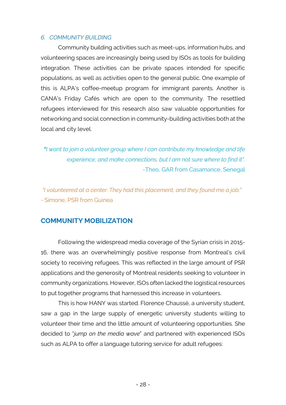#### *6. COMMUNITY BUILDING*

Community building activities such as meet-ups, information hubs, and volunteering spaces are increasingly being used by ISOs as tools for building integration. These activities can be private spaces intended for specific populations, as well as activities open to the general public. One example of this is ALPA's coffee-meetup program for immigrant parents. Another is CANA's Friday Cafés which are open to the community. The resettled refugees interviewed for this research also saw valuable opportunities for networking and social connection in community-building activities both at the local and city level.

*"I want to join a volunteer group where I can contribute my knowledge and life experience, and make connections, but I am not sure where to find it".* -Theo, GAR from Casamance, Senegal

*"I volunteered at a center. They had this placement, and they found me a job." -* Simone, PSR from Guinea

# **COMMUNITY MOBILIZATION**

Following the widespread media coverage of the Syrian crisis in 2015- 16, there was an overwhelmingly positive response from Montreal's civil society to receiving refugees. This was reflected in the large amount of PSR applications and the generosity of Montreal residents seeking to volunteer in community organizations. However, ISOs often lacked the logistical resources to put together programs that harnessed this increase in volunteers.

This is how HANY was started. Florence Chaussé, a university student, saw a gap in the large supply of energetic university students willing to volunteer their time and the little amount of volunteering opportunities. She decided to "*jump on the media wave*" and partnered with experienced ISOs such as ALPA to offer a language tutoring service for adult refugees: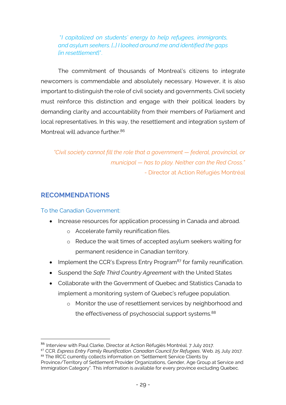"*I capitalized on students' energy to help refugees, immigrants, and asylum seekers. […] I looked around me and identified the gaps [in resettlement*]".

The commitment of thousands of Montreal's citizens to integrate newcomers is commendable and absolutely necessary. However, it is also important to distinguish the role of civil society and governments. Civil society must reinforce this distinction and engage with their political leaders by demanding clarity and accountability from their members of Parliament and local representatives. In this way, the resettlement and integration system of Montreal will advance further. 86

*"Civil society cannot fill the role that a government — federal, provincial, or municipal — has to play. Neither can the Red Cross."* - Director at Action Réfugiés Montréal

# **RECOMMENDATIONS**

### To the Canadian Government:

- Increase resources for application processing in Canada and abroad.
	- o Accelerate family reunification files.
	- o Reduce the wait times of accepted asylum seekers waiting for permanent residence in Canadian territory.
- Implement the CCR's Express Entry Program<sup>87</sup> for family reunification.
- Suspend the *Safe Third Country Agreement* with the United States
- Collaborate with the Government of Quebec and Statistics Canada to implement a monitoring system of Quebec's refugee population.
	- o Monitor the use of resettlement services by neighborhood and the effectiveness of psychosocial support systems.<sup>88</sup>

 <sup>86</sup> Interview with Paul Clarke, Director at Action Réfugiés Montréal. 7 July 2017.

<sup>87</sup> CCR. *Express Entry Family Reunification*. *Canadian Council for Refugees*. Web. 25 July 2017. 88 The IRCC currently collects information on "Settlement Service Clients by

Province/Territory of Settlement Provider Organizations, Gender, Age Group at Service and Immigration Category". This information is available for every province excluding Quebec.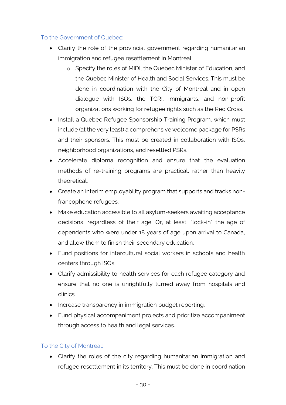### To the Government of Quebec:

- Clarify the role of the provincial government regarding humanitarian immigration and refugee resettlement in Montreal.
	- o Specify the roles of MIDI, the Quebec Minister of Education, and the Quebec Minister of Health and Social Services. This must be done in coordination with the City of Montreal and in open dialogue with ISOs, the TCRI, immigrants, and non-profit organizations working for refugee rights such as the Red Cross.
- Install a Quebec Refugee Sponsorship Training Program, which must include (at the very least) a comprehensive welcome package for PSRs and their sponsors. This must be created in collaboration with ISOs, neighborhood organizations, and resettled PSRs.
- Accelerate diploma recognition and ensure that the evaluation methods of re-training programs are practical, rather than heavily theoretical.
- Create an interim employability program that supports and tracks nonfrancophone refugees.
- Make education accessible to all asylum-seekers awaiting acceptance decisions, regardless of their age. Or, at least, "lock-in" the age of dependents who were under 18 years of age upon arrival to Canada, and allow them to finish their secondary education.
- Fund positions for intercultural social workers in schools and health centers through ISOs.
- Clarify admissibility to health services for each refugee category and ensure that no one is unrightfully turned away from hospitals and clinics.
- Increase transparency in immigration budget reporting.
- Fund physical accompaniment projects and prioritize accompaniment through access to health and legal services.

### To the City of Montreal:

• Clarify the roles of the city regarding humanitarian immigration and refugee resettlement in its territory. This must be done in coordination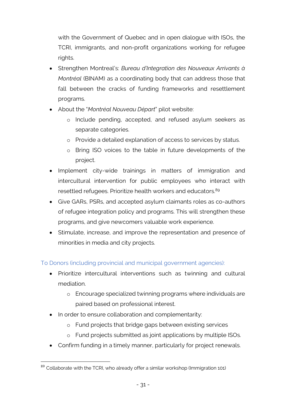with the Government of Quebec and in open dialogue with ISOs, the TCRI, immigrants, and non-profit organizations working for refugee rights.

- Strengthen Montreal's: *Bureau d'Integration des Nouveaux Arrivants à Montréal* (BINAM) as a coordinating body that can address those that fall between the cracks of funding frameworks and resettlement programs.
- About the "*Montréal Nouveau Départ*" pilot website:
	- o Include pending, accepted, and refused asylum seekers as separate categories.
	- o Provide a detailed explanation of access to services by status.
	- o Bring ISO voices to the table in future developments of the project.
- Implement city-wide trainings in matters of immigration and intercultural intervention for public employees who interact with resettled refugees. Prioritize health workers and educators. 89
- Give GARs, PSRs, and accepted asylum claimants roles as co-authors of refugee integration policy and programs. This will strengthen these programs, and give newcomers valuable work experience.
- Stimulate, increase, and improve the representation and presence of minorities in media and city projects.

To Donors (including provincial and municipal government agencies):

- Prioritize intercultural interventions such as twinning and cultural mediation.
	- o Encourage specialized twinning programs where individuals are paired based on professional interest.
- In order to ensure collaboration and complementarity:
	- o Fund projects that bridge gaps between existing services
	- o Fund projects submitted as joint applications by multiple ISOs.
- Confirm funding in a timely manner, particularly for project renewals.

 $89$  Collaborate with the TCRI, who already offer a similar workshop (Immigration 101)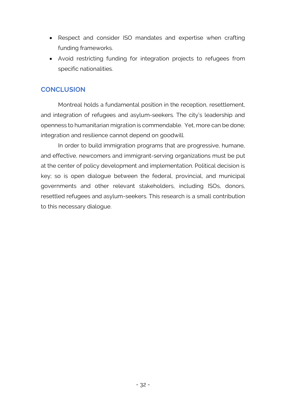- Respect and consider ISO mandates and expertise when crafting funding frameworks.
- Avoid restricting funding for integration projects to refugees from specific nationalities.

# **CONCLUSION**

Montreal holds a fundamental position in the reception, resettlement, and integration of refugees and asylum-seekers. The city's leadership and openness to humanitarian migration is commendable. Yet, more can be done; integration and resilience cannot depend on goodwill.

In order to build immigration programs that are progressive, humane, and effective, newcomers and immigrant-serving organizations must be put at the center of policy development and implementation. Political decision is key; so is open dialogue between the federal, provincial, and municipal governments and other relevant stakeholders, including ISOs, donors, resettled refugees and asylum-seekers. This research is a small contribution to this necessary dialogue.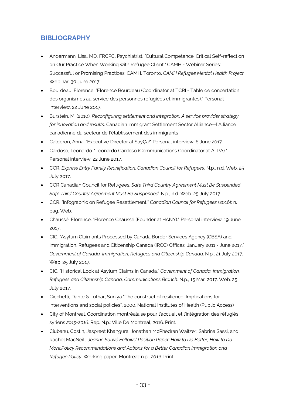# **BIBLIOGRAPHY**

- Andermann, Lisa, MD, FRCPC, Psychiatrist. "Cultural Competence: Critical Self-reflection on Our Practice When Working with Refugee Client." CAMH - Webinar Series: Successful or Promising Practices. CAMH, Toronto. *CAMH Refugee Mental Health Project*. Webinar. 30 June 2017.
- Bourdeau, Florence. "Florence Bourdeau (Coordinator at TCRI Table de concertation des organismes au service des personnes réfugiées et immigrantes)." Personal interview. 22 June 2017.
- Burstein, M. (2010). *Reconfiguring settlement and integration: A service provider strategy for innovation and results*. Canadian Immigrant Settlement Sector Alliance—l'Alliance canadienne du secteur de l'établissement des immigrants
- Calderon, Anna. "Executive Director at SayÇa!" Personal interview. 6 June 2017.
- Cardoso, Leonardo. "Léonardo Cardoso (Communications Coordinator at ALPA)." Personal interview. 22 June 2017.
- CCR. *Express Entry Family Reunification*. *Canadian Council for Refugees*. N.p., n.d. Web. 25 July 2017.
- CCR Canadian Council for Refugees. *Safe Third Country Agreement Must Be Suspended*. *Safe Third Country Agreement Must Be Suspended*. N.p., n.d. Web. 25 July 2017.
- CCR. "Infographic on Refugee Resettlement." *Canadian Council for Refugees* (2016): n. pag. Web.
- Chaussé, Florence. "Florence Chaussé (Founder at HANY)." Personal interview. 19 June 2017.
- CIC. "Asylum Claimants Processed by Canada Border Services Agency (CBSA) and Immigration, Refugees and Citizenship Canada (IRCC) Offices, January 2011 - June 2017." *Government of Canada, Immigration, Refugees and Citizenship Canada*. N.p., 21 July 2017. Web. 25 July 2017.
- CIC. "Historical Look at Asylum Claims in Canada." *Government of Canada, Immigration, Refugees and Citizenship Canada, Communications Branch*. N.p., 15 Mar. 2017. Web. 25 July 2017.
- Cicchetti, Dante & Luthar, Suniya "The construct of resilience: Implications for interventions and social policies". 2000. National Institutes of Health (Public Access)
- City of Montreal. Coordination montréalaise pour l'accueil et l'intégration des réfugiés syriens *2015-2016*. Rep. N.p.: Ville De Montreal, 2016. Print.
- Ciubanu, Costin, Jaspreet Khangura, Jonathan McPhedran Waitzer, Sabrina Sassi, and Rachel MacNeill. *Jeanne Sauvé Fellows' Position Paper: How to Do Better, How to Do More:Policy Recommendations and Actions for a Better Canadian Immigration and Refugee Policy*. Working paper. Montreal: n.p., 2016. Print.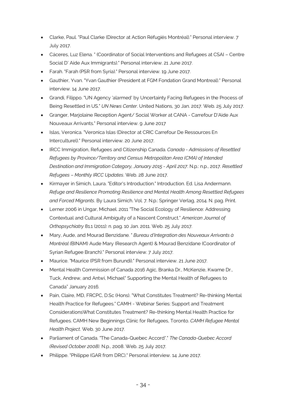- Clarke, Paul. "Paul Clarke (Director at Action Réfugiés Montréal)." Personal interview. 7 July 2017.
- Cáceres, Luz Elena. " (Coordinator of Social Interventions and Refugees at CSAI Centre Social D' Aide Aux Immigrants)." Personal interview. 21 June 2017.
- Farah. "Farah (PSR from Syria)." Personal interview. 19 June 2017.
- Gauthier, Yvan. "Yvan Gauthier (President at FGM Fondation Grand Montreal)." Personal interview. 14 June 2017.
- Grandi, Filippo. "UN Agency 'alarmed' by Uncertainty Facing Refugees in the Process of Being Resettled in US." *UN News Center*. United Nations, 30 Jan. 2017. Web. 25 July 2017.
- Granger, Marjolaine Reception Agent/ Social Worker at CANA Carrefour D'Aide Aux Nouveaux Arrivants." Personal interview. 9 June 2017
- Islas, Veronica. "Veronica Islas (Director at CRIC Carrefour De Ressources En Interculturel)." Personal interview. 20 June 2017.
- IRCC Immigration, Refugees and Citizenship Canada. *Canada - Admissions of Resettled Refugees by Province/Territory and Census Metropolitan Area (CMA) of Intended Destination and Immigration Category, January 2015 - April 2017*. N.p.: n.p., 2017. *Resettled Refugees – Monthly IRCC Updates*. Web. 28 June 2017.
- Kirmayer in Simich, Laura. "Editor's Introduction." Introduction. Ed. Lisa Andermann. *Refuge and Resilience Promoting Resilience and Mental Health Among Resettled Refugees and Forced Migrants*. By Laura Simich. Vol. 7. N.p.: Springer Verlag, 2014. N. pag. Print.
- Lerner 2006 in Ungar, Michael. 2011 "The Social Ecology of Resilience: Addressing Contextual and Cultural Ambiguity of a Nascent Construct." *American Journal of Orthopsychiatry* 81.1 (2011): n. pag. 10 Jan. 2011. Web. 25 July 2017.
- Mary, Aude, and Mourad Benzidane. " *Bureau d'Integration des Nouveaux Arrivants à Montréal (*BINAM) Aude Mary (Research Agent) & Mourad Benzidane (Coordinator of Syrian Refugee Branch)." Personal interview. 7 July 2017.
- Maurice. "Maurice (PSR from Burundi)." Personal interview. 21 June 2017.
- Mental Health Commission of Canada 2016 Agic, Branka Dr., McKenzie, Kwame Dr., Tuck, Andrew, and Antwi, Michael" Supporting the Mental Health of Refugees to Canada" January 2016.
- Pain, Claire, MD, FRCPC, D.Sc (Hons). "What Constitutes Treatment? Re-thinking Mental Health Practice for Refugees." CAMH - Webinar Series: Support and Treatment ConsiderationsWhat Constitutes Treatment? Re-thinking Mental Health Practice for Refugees. CAMH New Beginnings Clinic for Refugees, Toronto. *CAMH Refugee Mental Health Project*. Web. 30 June 2017.
- Parliament of Canada. "The Canada-Quebec Accord\*." *The Canada-Quebec Accord (Revised October 2008)*. N.p., 2008. Web. 25 July 2017.
- Philippe. "Philippe (GAR from DRC)." Personal interview. 14 June 2017.